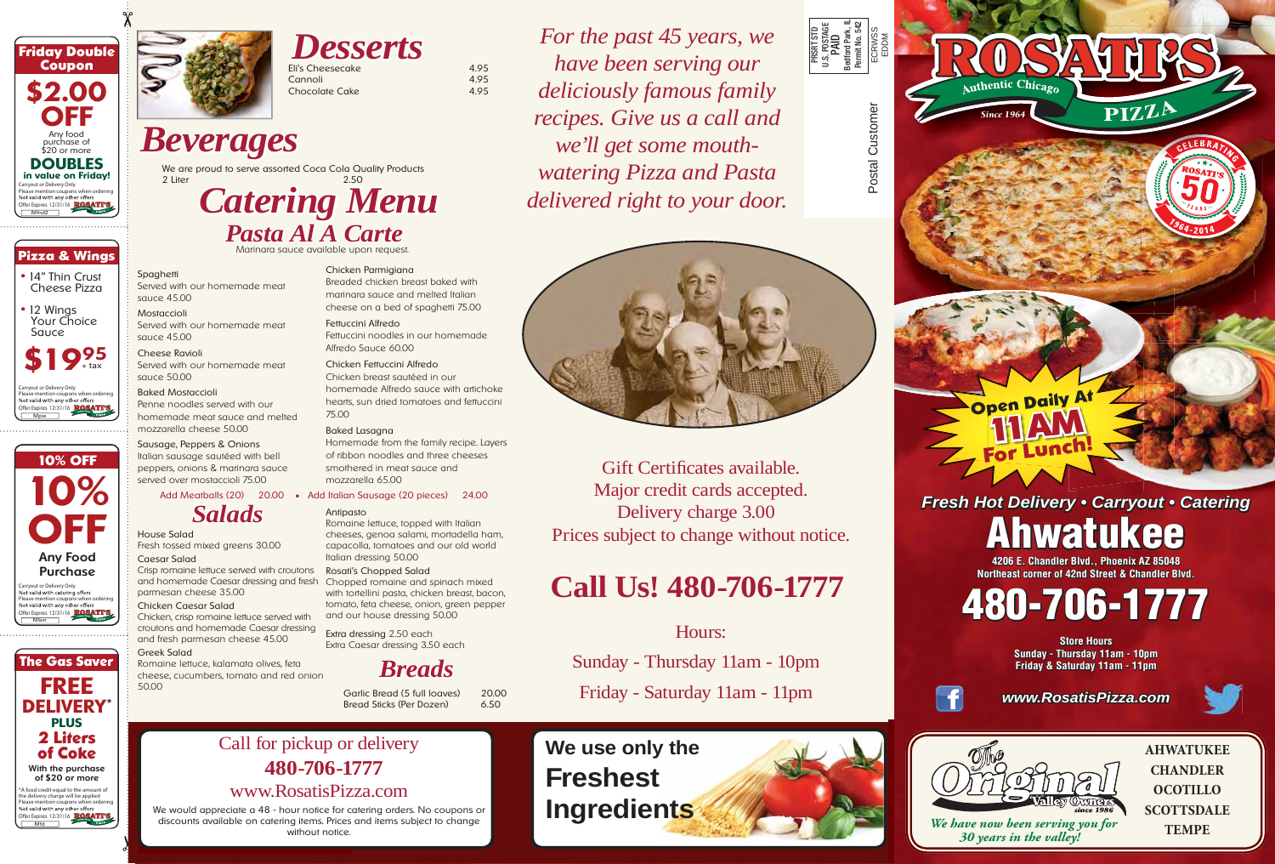

*Desserts* Eli's Cheesecake 4.95<br>Cannoli 4.95 Cannoli 4.95<br>Chocolate Cake 4.95

## *Beverages*

We are proud to serve assorted Coca Cola Quality Products<br>2 Liter 2 2 Liter 2.50

# *Catering Menu Pasta Al A Carte*

Chocolate Cake

Marinara sauce available upon request.

#### **Spaghetti**

Served with our homemade meat sauce 45.00

Mostaccioli Served with our homemade meat sauce 45.00

Cheese Ravioli Served with our homemade meat sauce 50.00

#### Baked Mostaccioli

Penne noodles served with our homemade meat sauce and melted mozzarella cheese 50.00

Sausage, Peppers & Onions Italian sausage sautéed with bell peppers, onions & marinara sauce served over mostaccioli 75.00

### *Salads*

House Salad Fresh tossed mixed greens 30.00

Caesar Salad Crisp romaine lettuce served with croutons and homemade Caesar dressing and fresh parmesan cheese 35.00

#### Chicken Caesar Salad

Chicken, crisp romaine lettuce served with croutons and homemade Caesar dressing and fresh parmesan cheese 45.00

#### Greek Salad

Romaine lettuce, kalamata olives, feta cheese, cucumbers, tomato and red onion 50.00

#### Chicken Parmigiana Breaded chicken breast baked with

marinara sauce and melted Italian cheese on a bed of spaghetti 75.00

Fettuccini Alfredo Fettuccini noodles in our homemade Alfredo Sauce 60.00

Chicken Fettuccini Alfredo Chicken breast sautéed in our homemade Alfredo sauce with artichoke hearts, sun dried tomatoes and fettuccini 75.00

#### Baked Lasagna

Homemade from the family recipe. Layers of ribbon noodles and three cheeses smothered in meat sauce and mozzarella 65.00

#### Add Meatballs (20) 20.00 **■** Add Italian Sausage (20 pieces) 24.00

#### Antipasto

Romaine lettuce, topped with Italian cheeses, genoa salami, mortadella ham, capacolla, tomatoes and our old world Italian dressing 50.00

#### Rosati's Chopped Salad

Chopped romaine and spinach mixed with tortellini pasta, chicken breast, bacon, tomato, feta cheese, onion, green pepper and our house dressing 50.00

Extra dressing 2.50 each Extra Caesar dressing 3.50 each

*Breads*

Garlic Bread (5 full loaves) 20.00 Bread Sticks (Per Dozen) 6.50

*For the past 45 years, we have been serving our deliciously famous family recipes. Give us a call and we'll get some mouth- mouthwatering Pizza and Pasta* delivered right to your door.



Postal Customer

Postal Customer

Bedford Parl<br>Permit No. !

PRSRT STD U.S. POSTAGE PAID Bedford Park, IL Permit No. 542 ECRWSS EDDM

Gift Certificates available. Major credit cards accepted. Delivery charge 3.00 Prices subject to change without notice.

## **Call Us! 480-706-1777**

### Hours:

Sunday - Thursday 11am - 10pm

Friday - Saturday 11am - 11pm



thentic Chicago *Since 1964* **Open Daily At 11AM For Lunch!**

*Fresh Hot Delivery • Carryout • Catering*

# **Ahwatukee**

**4206 E. Chandler Blvd., Phoenix AZ 85048 Northeast corner of 42nd Street & Chandler Blvd.**

# **480-706-1777**

**Store Hours Sunday - Thursday 11am - 10pm Friday & Saturday 11am - 11pm**



*www.RosatisPizza.com*





 *We have now been serving you for 30 years in the valley!*

**AHWATUKEE CHANDLER OCOTILLO SCOTTSDALE TEMPE**

### **480-706-1777** www.RosatisPizza.com

We would appreciate a 48 - hour notice for catering orders. No coupons or discounts available on catering items. Prices and items subject to change without notice.

Call for pickup or delivery